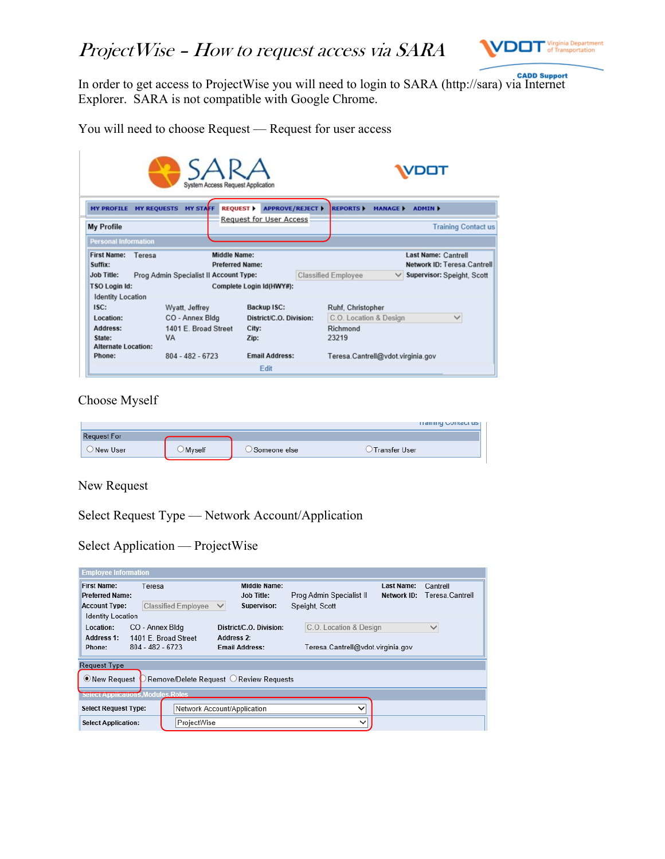

In order to get access to ProjectWise you will need to login to SARA (http://sara) via Internet Explorer. SARA is not compatible with Google Chrome.

You will need to choose Request — Request for user access

|                                                                       | System Access Request Application             | VDOT                                         |                                                                          |  |
|-----------------------------------------------------------------------|-----------------------------------------------|----------------------------------------------|--------------------------------------------------------------------------|--|
| <b>MY PROFILE</b><br><b>MY REQUESTS</b>                               | <b>MY STAFF</b>                               | <b>APPROVE/REJECT &gt;</b><br><b>REQUEST</b> | <b>REPORTS</b><br><b>MANAGE</b><br><b>ADMIN F</b>                        |  |
| <b>My Profile</b>                                                     |                                               | <b>Request for User Access</b>               | <b>Training Contact us</b>                                               |  |
| <b>Personal Information</b>                                           |                                               |                                              |                                                                          |  |
| <b>First Name:</b><br>Teresa<br>Suffix:                               | <b>Middle Name:</b><br><b>Preferred Name:</b> |                                              | Last Name: Cantrell<br>Network ID: Teresa Cantrell                       |  |
| <b>Job Title:</b><br><b>TSO Login Id:</b><br><b>Identity Location</b> | Prog Admin Specialist II Account Type:        | Complete Login Id(HWY#):                     | <b>Classified Employee</b><br>Supervisor: Speight, Scott<br>$\checkmark$ |  |
| ISC:<br>Location:                                                     | Wyatt, Jeffrey<br>CO - Annex Bldg             | Backup ISC:<br>District/C.O. Division:       | Ruhf, Christopher<br>C.O. Location & Design<br>$\checkmark$              |  |
| Address:<br><b>VA</b><br>State:<br>Alternate Location:                | 1401 E. Broad Street                          | City:<br>Zip:                                | Richmond<br>23219                                                        |  |
| Phone:                                                                | $804 - 482 - 6723$                            | <b>Email Address:</b><br>Edit                | Teresa.Cantrell@vdot.virginia.gov                                        |  |

## Choose Myself

|                    |        |                | <b>Halling Contact us)</b> |
|--------------------|--------|----------------|----------------------------|
| <b>Request For</b> |        |                |                            |
| New User           | Myself | / Someone else | Transfer User              |

New Request

Select Request Type — Network Account/Application

Select Application — ProjectWise

| <b>Employee Information</b>                                                 |                                            |                                       |                                   |                           |                             |  |  |
|-----------------------------------------------------------------------------|--------------------------------------------|---------------------------------------|-----------------------------------|---------------------------|-----------------------------|--|--|
| <b>First Name:</b><br>Teresa<br><b>Preferred Name:</b>                      |                                            | Middle Name:<br><b>Job Title:</b>     | Prog Admin Specialist II          | Last Name:<br>Network ID: | Cantrell<br>Teresa Cantrell |  |  |
| <b>Account Type:</b><br><b>Identity Location</b>                            | <b>Classified Employee</b><br>$\checkmark$ | Supervisor:                           | Speight, Scott                    |                           |                             |  |  |
| Location:<br>Address 1:                                                     | CO - Annex Bldg<br>1401 E. Broad Street    | District/C.O. Division:<br>Address 2: | C.O. Location & Design            |                           | $\checkmark$                |  |  |
| Phone:                                                                      | $804 - 482 - 6723$                         | <b>Email Address:</b>                 | Teresa.Cantrell@vdot.virginia.gov |                           |                             |  |  |
| <b>Request Type</b>                                                         |                                            |                                       |                                   |                           |                             |  |  |
| $\supset$ Remove/Delete Request $\bigcirc$ Review Requests<br>● New Request |                                            |                                       |                                   |                           |                             |  |  |
| seiect Applications, Modules. Roles                                         |                                            |                                       |                                   |                           |                             |  |  |
| <b>Select Request Type:</b>                                                 | Network Account/Application                |                                       | $\checkmark$                      |                           |                             |  |  |
| <b>Select Application:</b>                                                  | ProjectWise                                |                                       | $\checkmark$                      |                           |                             |  |  |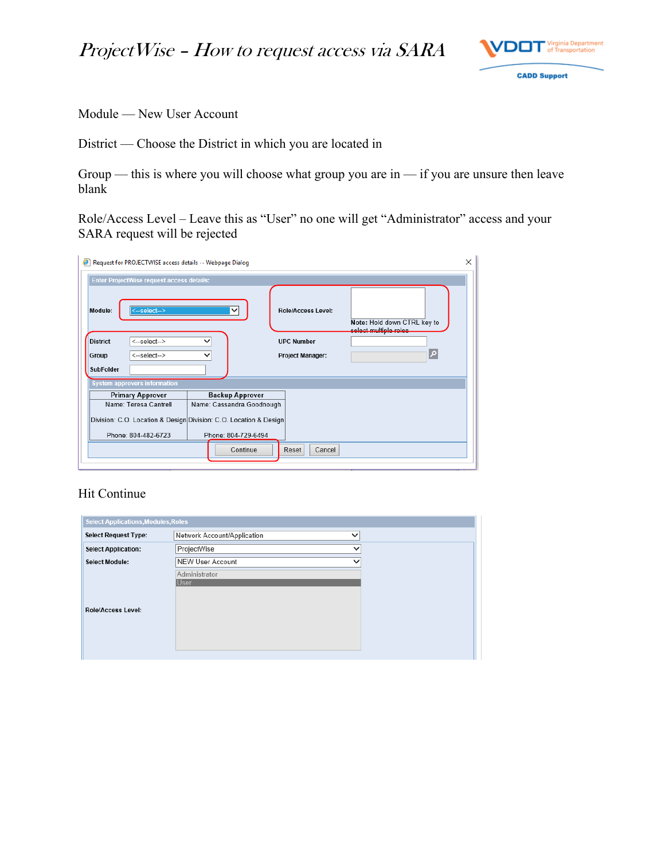

Module — New User Account

District — Choose the District in which you are located in

Group — this is where you will choose what group you are in — if you are unsure then leave blank

Role/Access Level – Leave this as "User" no one will get "Administrator" access and your SARA request will be rejected

| Request for PROJECTWISE access details -- Webpage Dialog          |                                                                                 | $\times$ |
|-------------------------------------------------------------------|---------------------------------------------------------------------------------|----------|
| <b>Enter ProjectWise request access details:</b>                  |                                                                                 |          |
| <-select-><br>Module:                                             | Role/Access Level:<br>✓<br>Note: Hold down CTRL key to<br>select multiple reles |          |
| <b>District</b><br><-select-->                                    | $\checkmark$<br><b>UPC Number</b>                                               |          |
| <-select--><br>Group                                              | م <br><b>Project Manager:</b>                                                   |          |
| <b>SubFolder</b>                                                  |                                                                                 |          |
| <b>System approvers information</b>                               |                                                                                 |          |
| <b>Primary Approver</b>                                           | <b>Backup Approver</b>                                                          |          |
| Name: Teresa.Cantrell                                             | Name: Cassandra.Goodnough                                                       |          |
| Division: C.O. Location & Design Division: C.O. Location & Design |                                                                                 |          |
| Phone: 804-482-6723                                               | Phone: 804-729-6494                                                             |          |
|                                                                   | Continue<br>Cancel<br>Reset                                                     |          |

## Hit Continue

| <b>Select Applications, Modules, Roles</b> |                              |              |  |  |  |
|--------------------------------------------|------------------------------|--------------|--|--|--|
| <b>Select Request Type:</b>                | Network Account/Application  | $\checkmark$ |  |  |  |
| <b>Select Application:</b>                 | ProjectWise                  | $\checkmark$ |  |  |  |
| <b>Select Module:</b>                      | <b>NEW User Account</b>      | $\checkmark$ |  |  |  |
| <b>Role/Access Level:</b>                  | Administrator<br><b>User</b> |              |  |  |  |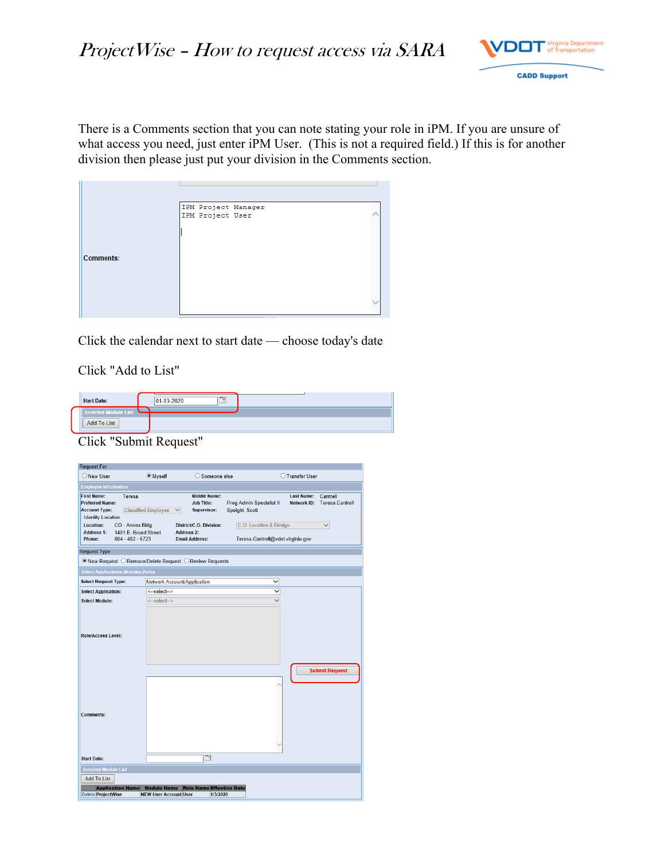## *ProjectWise – How to request access via SARA*



There is a Comments section that you can note stating your role in iPM. If you are unsure of what access you need, just enter iPM User. (This is not a required field.) If this is for another division then please just put your division in the Comments section.

|           | IPM Project Manager<br>IPM Project User |  |
|-----------|-----------------------------------------|--|
| Comments: |                                         |  |
|           |                                         |  |
|           |                                         |  |

Click the calendar next to start date — choose today's date

Click "Add to List"

| Start Date:          |  | 01-03-2020 | -<br><b>n</b> |
|----------------------|--|------------|---------------|
| Selected Module List |  |            |               |
| Add To List          |  |            |               |

Click "Submit Request"

| <b>Request For</b>                                                                                         |                                                    |                                                                         |                                                             |                                  |                             |  |
|------------------------------------------------------------------------------------------------------------|----------------------------------------------------|-------------------------------------------------------------------------|-------------------------------------------------------------|----------------------------------|-----------------------------|--|
| O New User                                                                                                 | <b>Myself</b>                                      | Someone else                                                            |                                                             | ◯ Transfer User                  |                             |  |
| <b>Employee Information</b>                                                                                |                                                    |                                                                         |                                                             |                                  |                             |  |
| <b>First Name:</b><br>Teresa<br><b>Preferred Name:</b><br><b>Account Type:</b><br><b>Identity Location</b> | <b>Classified Employee</b>                         | <b>Middle Name:</b><br><b>Job Title:</b><br>$\checkmark$<br>Supervisor: | Prog Admin Specialist II<br>Speight, Scott                  | <b>Last Name:</b><br>Network ID: | Cantrell<br>Teresa Cantrell |  |
| CO - Annex Bldg<br>Location:<br>Address 1:<br>1401 E. Broad Street<br>$804 - 482 - 6723$<br>Phone:         |                                                    | District/C.O. Division:<br>Address 2:<br><b>Email Address:</b>          | C.O. Location & Design<br>Teresa.Cantrell@vdot.virginia.gov |                                  | $\checkmark$                |  |
| <b>Request Type</b>                                                                                        |                                                    |                                                                         |                                                             |                                  |                             |  |
| ● New Request ○ Remove/Delete Request ○ Review Requests                                                    |                                                    |                                                                         |                                                             |                                  |                             |  |
| <b>Select Applications, Modules, Roles</b>                                                                 |                                                    |                                                                         |                                                             |                                  |                             |  |
| <b>Select Request Type:</b>                                                                                |                                                    | Network Account/Application                                             | $\checkmark$                                                |                                  |                             |  |
| <b>Select Application:</b>                                                                                 | <-select->                                         |                                                                         | $\checkmark$                                                |                                  |                             |  |
| <b>Select Module:</b>                                                                                      | <-select->                                         |                                                                         |                                                             |                                  |                             |  |
| Role/Access Level:                                                                                         |                                                    |                                                                         |                                                             |                                  | <b>Submit Request</b>       |  |
| Comments:                                                                                                  |                                                    |                                                                         |                                                             |                                  |                             |  |
| <b>Start Date:</b>                                                                                         |                                                    | m,                                                                      |                                                             |                                  |                             |  |
| <b>Selected Module List</b>                                                                                |                                                    |                                                                         |                                                             |                                  |                             |  |
| Add To List                                                                                                |                                                    |                                                                         |                                                             |                                  |                             |  |
| <b>Application Name</b><br>Delete ProjectWise                                                              | <b>Module Name</b><br><b>NEW User Account User</b> | <b>Role Name Effective Date</b><br>1/3/2020                             |                                                             |                                  |                             |  |